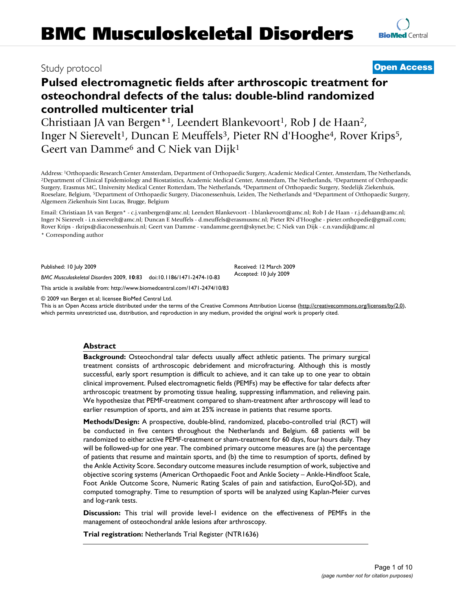# Study protocol **[Open Access](http://www.biomedcentral.com/info/about/charter/)**

# **Pulsed electromagnetic fields after arthroscopic treatment for osteochondral defects of the talus: double-blind randomized controlled multicenter trial**

Christiaan JA van Bergen\*<sup>1</sup>, Leendert Blankevoort<sup>1</sup>, Rob J de Haan<sup>2</sup>, Inger N Sierevelt<sup>1</sup>, Duncan E Meuffels<sup>3</sup>, Pieter RN d'Hooghe<sup>4</sup>, Rover Krips<sup>5</sup>, Geert van Damme<sup>6</sup> and C Niek van Dijk<sup>1</sup>

Address: <sup>1</sup>Orthopaedic Research Center Amsterdam, Department of Orthopaedic Surgery, Academic Medical Center, Amsterdam, The Netherlands, <sup>2</sup>Department of Clinical Epidemiology and Biostatistics, Academic Medical Center, Surgery, Erasmus MC, University Medical Center Rotterdam, The Netherlands, 4Department of Orthopaedic Surgery, Stedelijk Ziekenhuis, Roeselare, Belgium, 5Department of Orthopaedic Surgery, Diaconessenhuis, Leiden, The Netherlands and 6Department of Orthopaedic Surgery, Algemeen Ziekenhuis Sint Lucas, Brugge, Belgium

Email: Christiaan JA van Bergen\* - c.j.vanbergen@amc.nl; Leendert Blankevoort - l.blankevoort@amc.nl; Rob J de Haan - r.j.dehaan@amc.nl; Inger N Sierevelt - i.n.sierevelt@amc.nl; Duncan E Meuffels - d.meuffels@erasmusmc.nl; Pieter RN d'Hooghe - pieter.orthopedie@gmail.com; Rover Krips - rkrips@diaconessenhuis.nl; Geert van Damme - vandamme.geert@skynet.be; C Niek van Dijk - c.n.vandijk@amc.nl \* Corresponding author

Published: 10 July 2009

*BMC Musculoskeletal Disorders* 2009, **10**:83 doi:10.1186/1471-2474-10-83

[This article is available from: http://www.biomedcentral.com/1471-2474/10/83](http://www.biomedcentral.com/1471-2474/10/83)

© 2009 van Bergen et al; licensee BioMed Central Ltd.

This is an Open Access article distributed under the terms of the Creative Commons Attribution License [\(http://creativecommons.org/licenses/by/2.0\)](http://creativecommons.org/licenses/by/2.0), which permits unrestricted use, distribution, and reproduction in any medium, provided the original work is properly cited.

# **Abstract**

**Background:** Osteochondral talar defects usually affect athletic patients. The primary surgical treatment consists of arthroscopic debridement and microfracturing. Although this is mostly successful, early sport resumption is difficult to achieve, and it can take up to one year to obtain clinical improvement. Pulsed electromagnetic fields (PEMFs) may be effective for talar defects after arthroscopic treatment by promoting tissue healing, suppressing inflammation, and relieving pain. We hypothesize that PEMF-treatment compared to sham-treatment after arthroscopy will lead to earlier resumption of sports, and aim at 25% increase in patients that resume sports.

**Methods/Design:** A prospective, double-blind, randomized, placebo-controlled trial (RCT) will be conducted in five centers throughout the Netherlands and Belgium. 68 patients will be randomized to either active PEMF-treatment or sham-treatment for 60 days, four hours daily. They will be followed-up for one year. The combined primary outcome measures are (a) the percentage of patients that resume and maintain sports, and (b) the time to resumption of sports, defined by the Ankle Activity Score. Secondary outcome measures include resumption of work, subjective and objective scoring systems (American Orthopaedic Foot and Ankle Society – Ankle-Hindfoot Scale, Foot Ankle Outcome Score, Numeric Rating Scales of pain and satisfaction, EuroQol-5D), and computed tomography. Time to resumption of sports will be analyzed using Kaplan-Meier curves and log-rank tests.

**Discussion:** This trial will provide level-1 evidence on the effectiveness of PEMFs in the management of osteochondral ankle lesions after arthroscopy.

**Trial registration:** Netherlands Trial Register (NTR1636)

Received: 12 March 2009 Accepted: 10 July 2009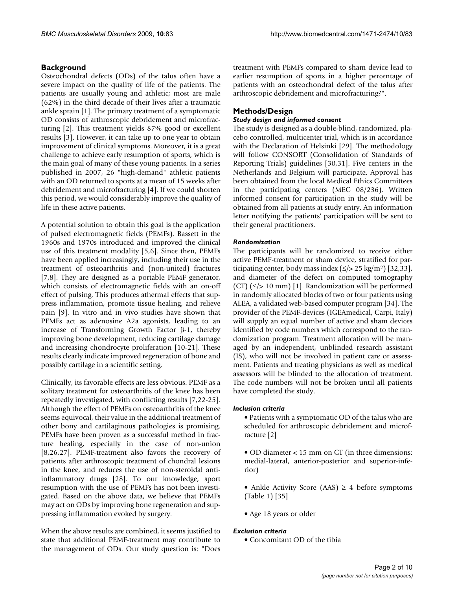# **Background**

Osteochondral defects (ODs) of the talus often have a severe impact on the quality of life of the patients. The patients are usually young and athletic; most are male (62%) in the third decade of their lives after a traumatic ankle sprain [1]. The primary treatment of a symptomatic OD consists of arthroscopic debridement and microfracturing [2]. This treatment yields 87% good or excellent results [3]. However, it can take up to one year to obtain improvement of clinical symptoms. Moreover, it is a great challenge to achieve early resumption of sports, which is the main goal of many of these young patients. In a series published in 2007, 26 "high-demand" athletic patients with an OD returned to sports at a mean of 15 weeks after debridement and microfracturing [4]. If we could shorten this period, we would considerably improve the quality of life in these active patients.

A potential solution to obtain this goal is the application of pulsed electromagnetic fields (PEMFs). Bassett in the 1960s and 1970s introduced and improved the clinical use of this treatment modality [5,6]. Since then, PEMFs have been applied increasingly, including their use in the treatment of osteoarthritis and (non-united) fractures [7,8]. They are designed as a portable PEMF generator, which consists of electromagnetic fields with an on-off effect of pulsing. This produces athermal effects that suppress inflammation, promote tissue healing, and relieve pain [9]. In vitro and in vivo studies have shown that PEMFs act as adenosine A2a agonists, leading to an increase of Transforming Growth Factor β-1, thereby improving bone development, reducing cartilage damage and increasing chondrocyte proliferation [10-21]. These results clearly indicate improved regeneration of bone and possibly cartilage in a scientific setting.

Clinically, its favorable effects are less obvious. PEMF as a solitary treatment for osteoarthritis of the knee has been repeatedly investigated, with conflicting results [7,22-25]. Although the effect of PEMFs on osteoarthritis of the knee seems equivocal, their value in the additional treatment of other bony and cartilaginous pathologies is promising. PEMFs have been proven as a successful method in fracture healing, especially in the case of non-union [8,26,27]. PEMF-treatment also favors the recovery of patients after arthroscopic treatment of chondral lesions in the knee, and reduces the use of non-steroidal antiinflammatory drugs [28]. To our knowledge, sport resumption with the use of PEMFs has not been investigated. Based on the above data, we believe that PEMFs may act on ODs by improving bone regeneration and suppressing inflammation evoked by surgery.

When the above results are combined, it seems justified to state that additional PEMF-treatment may contribute to the management of ODs. Our study question is: "Does treatment with PEMFs compared to sham device lead to earlier resumption of sports in a higher percentage of patients with an osteochondral defect of the talus after arthroscopic debridement and microfracturing?".

# **Methods/Design**

# *Study design and informed consent*

The study is designed as a double-blind, randomized, placebo controlled, multicenter trial, which is in accordance with the Declaration of Helsinki [29]. The methodology will follow CONSORT (Consolidation of Standards of Reporting Trials) guidelines [30,31]. Five centers in the Netherlands and Belgium will participate. Approval has been obtained from the local Medical Ethics Committees in the participating centers (MEC 08/236). Written informed consent for participation in the study will be obtained from all patients at study entry. An information letter notifying the patients' participation will be sent to their general practitioners.

# *Randomization*

The participants will be randomized to receive either active PEMF-treatment or sham device, stratified for participating center, body mass index  $(\leq)$  > 25 kg/m<sup>2</sup>) [32,33], and diameter of the defect on computed tomography (CT)  $(\le$ /> 10 mm) [1]. Randomization will be performed in randomly allocated blocks of two or four patients using ALEA, a validated web-based computer program [34]. The provider of the PEMF-devices (IGEAmedical, Carpi, Italy) will supply an equal number of active and sham devices identified by code numbers which correspond to the randomization program. Treatment allocation will be managed by an independent, unblinded research assistant (IS), who will not be involved in patient care or assessment. Patients and treating physicians as well as medical assessors will be blinded to the allocation of treatment. The code numbers will not be broken until all patients have completed the study.

# *Inclusion criteria*

• Patients with a symptomatic OD of the talus who are scheduled for arthroscopic debridement and microfracture [2]

• OD diameter < 15 mm on CT (in three dimensions: medial-lateral, anterior-posterior and superior-inferior)

• Ankle Activity Score (AAS)  $\geq$  4 before symptoms (Table 1) [35]

• Age 18 years or older

# *Exclusion criteria*

• Concomitant OD of the tibia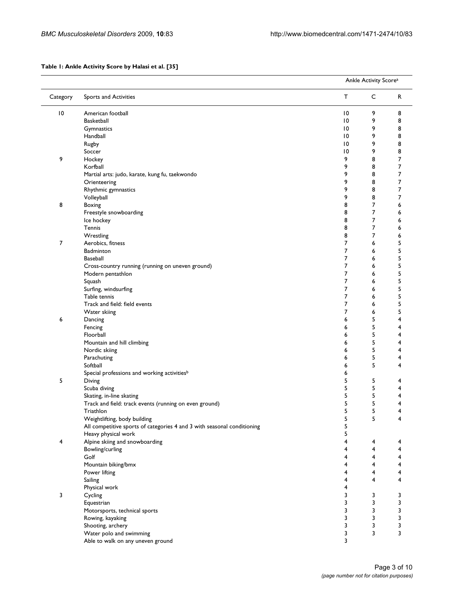# **Table 1: Ankle Activity Score by Halasi et al. [35]**

|                 |                                                                         |                 | Ankle Activity Score <sup>a</sup> |        |  |  |
|-----------------|-------------------------------------------------------------------------|-----------------|-----------------------------------|--------|--|--|
| Category        | Sports and Activities                                                   | т               | C                                 | R      |  |  |
| $\overline{10}$ | American football                                                       | $\overline{10}$ | 9                                 | 8      |  |  |
|                 | <b>Basketball</b>                                                       | 10              | 9                                 | 8      |  |  |
|                 | Gymnastics                                                              | $\overline{10}$ | 9                                 | 8      |  |  |
|                 | Handball                                                                | 10              | 9                                 | 8      |  |  |
|                 | Rugby                                                                   | $\overline{10}$ | 9                                 | 8      |  |  |
|                 | Soccer                                                                  | $\overline{10}$ | 9                                 | 8      |  |  |
| 9               | Hockey                                                                  | 9               | 8                                 | 7      |  |  |
|                 | Korfball                                                                | 9               | 8                                 | 7      |  |  |
|                 | Martial arts: judo, karate, kung fu, taekwondo                          | 9               | 8                                 | 7      |  |  |
|                 | Orienteering                                                            | 9               | 8                                 | 7      |  |  |
|                 | Rhythmic gymnastics                                                     | 9               | 8                                 | 7      |  |  |
|                 | Volleyball                                                              | 9               | 8                                 | 7      |  |  |
| 8               | Boxing                                                                  | 8               | 7                                 | 6      |  |  |
|                 | Freestyle snowboarding                                                  | 8               | 7                                 | 6      |  |  |
|                 | Ice hockey                                                              | 8               | 7                                 | 6      |  |  |
|                 | Tennis                                                                  | 8               | 7                                 | 6      |  |  |
|                 | Wrestling                                                               | 8               | 7                                 | 6      |  |  |
| 7               | Aerobics, fitness                                                       | 7               | 6                                 | 5      |  |  |
|                 | Badminton                                                               | 7               | 6                                 | 5      |  |  |
|                 | Baseball                                                                | 7               | 6                                 | 5      |  |  |
|                 | Cross-country running (running on uneven ground)                        | 7               | 6                                 | 5      |  |  |
|                 | Modern pentathlon                                                       | 7               | 6                                 | 5      |  |  |
|                 | Squash                                                                  | 7               | 6                                 | 5      |  |  |
|                 | Surfing, windsurfing                                                    | 7<br>7          | 6                                 | 5<br>5 |  |  |
|                 | Table tennis<br>Track and field: field events                           | 7               | 6<br>6                            | 5      |  |  |
|                 | Water skiing                                                            | $\overline{7}$  | 6                                 | 5      |  |  |
| 6               | Dancing                                                                 | 6               | 5                                 | 4      |  |  |
|                 | Fencing                                                                 | 6               | 5                                 | 4      |  |  |
|                 | Floorball                                                               | 6               | 5                                 | 4      |  |  |
|                 | Mountain and hill climbing                                              | 6               | 5                                 | 4      |  |  |
|                 | Nordic skiing                                                           | 6               | 5                                 | 4      |  |  |
|                 | Parachuting                                                             | 6               | 5                                 | 4      |  |  |
|                 | Softball                                                                | 6               | 5                                 | 4      |  |  |
|                 | Special professions and working activities <sup>b</sup>                 | 6               |                                   |        |  |  |
| 5               | Diving                                                                  | 5               | 5                                 | 4      |  |  |
|                 | Scuba diving                                                            | 5               | 5                                 | 4      |  |  |
|                 | Skating, in-line skating                                                | 5               | 5                                 | 4      |  |  |
|                 | Track and field: track events (running on even ground)                  | 5               | 5                                 | 4      |  |  |
|                 | Triathlon                                                               | 5               | 5                                 |        |  |  |
|                 | Weightlifting, body building                                            | 5               | 5                                 | 4      |  |  |
|                 | All competitive sports of categories 4 and 3 with seasonal conditioning | 5               |                                   |        |  |  |
|                 | Heavy physical work                                                     | 5               |                                   |        |  |  |
| $\overline{4}$  | Alpine skiing and snowboarding                                          | 4               | $\overline{\mathbf{4}}$           | 4      |  |  |
|                 | Bowling/curling                                                         | 4               | 4                                 | 4      |  |  |
|                 | Golf                                                                    | 4               | 4                                 | 4      |  |  |
|                 | Mountain biking/bmx                                                     | 4<br>4          | 4<br>4                            | 4<br>4 |  |  |
|                 | Power lifting<br>Sailing                                                | 4               | 4                                 | 4      |  |  |
|                 | Physical work                                                           | 4               |                                   |        |  |  |
| 3               | Cycling                                                                 | 3               | 3                                 | 3      |  |  |
|                 | Equestrian                                                              | 3               | 3                                 | 3      |  |  |
|                 | Motorsports, technical sports                                           | 3               | 3                                 | 3      |  |  |
|                 | Rowing, kayaking                                                        | 3               | 3                                 | 3      |  |  |
|                 | Shooting, archery                                                       | 3               | 3                                 | 3      |  |  |
|                 | Water polo and swimming                                                 | 3               | 3                                 | 3      |  |  |
|                 | Able to walk on any uneven ground                                       | 3               |                                   |        |  |  |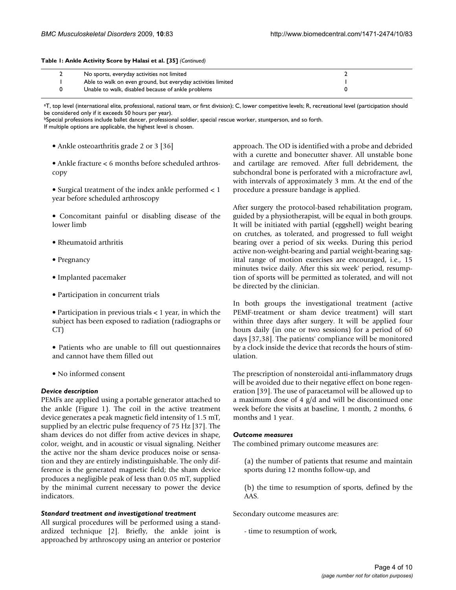#### **Table 1: Ankle Activity Score by Halasi et al. [35]** *(Continued)*

| No sports, everyday activities not limited                   |  |
|--------------------------------------------------------------|--|
| Able to walk on even ground, but everyday activities limited |  |
| Unable to walk, disabled because of ankle problems           |  |

aT, top level (international elite, professional, national team, or first division); C, lower competitive levels; R, recreational level (participation should be considered only if it exceeds 50 hours per year).

bSpecial professions include ballet dancer, professional soldier, special rescue worker, stuntperson, and so forth. If multiple options are applicable, the highest level is chosen.

- Ankle osteoarthritis grade 2 or 3 [36]
- Ankle fracture < 6 months before scheduled arthroscopy

• Surgical treatment of the index ankle performed < 1 year before scheduled arthroscopy

• Concomitant painful or disabling disease of the lower limb

- Rheumatoid arthritis
- Pregnancy
- Implanted pacemaker
- Participation in concurrent trials
- Participation in previous trials < 1 year, in which the subject has been exposed to radiation (radiographs or CT)
- Patients who are unable to fill out questionnaires and cannot have them filled out
- No informed consent

#### *Device description*

PEMFs are applied using a portable generator attached to the ankle (Figure 1). The coil in the active treatment device generates a peak magnetic field intensity of 1.5 mT, supplied by an electric pulse frequency of 75 Hz [37]. The sham devices do not differ from active devices in shape, color, weight, and in acoustic or visual signaling. Neither the active nor the sham device produces noise or sensation and they are entirely indistinguishable. The only difference is the generated magnetic field; the sham device produces a negligible peak of less than 0.05 mT, supplied by the minimal current necessary to power the device indicators.

#### *Standard treatment and investigational treatment*

All surgical procedures will be performed using a standardized technique [2]. Briefly, the ankle joint is approached by arthroscopy using an anterior or posterior approach. The OD is identified with a probe and debrided with a curette and bonecutter shaver. All unstable bone and cartilage are removed. After full debridement, the subchondral bone is perforated with a microfracture awl, with intervals of approximately 3 mm. At the end of the procedure a pressure bandage is applied.

After surgery the protocol-based rehabilitation program, guided by a physiotherapist, will be equal in both groups. It will be initiated with partial (eggshell) weight bearing on crutches, as tolerated, and progressed to full weight bearing over a period of six weeks. During this period active non-weight-bearing and partial weight-bearing sagittal range of motion exercises are encouraged, i.e., 15 minutes twice daily. After this six week' period, resumption of sports will be permitted as tolerated, and will not be directed by the clinician.

In both groups the investigational treatment (active PEMF-treatment or sham device treatment) will start within three days after surgery. It will be applied four hours daily (in one or two sessions) for a period of 60 days [37,38]. The patients' compliance will be monitored by a clock inside the device that records the hours of stimulation.

The prescription of nonsteroidal anti-inflammatory drugs will be avoided due to their negative effect on bone regeneration [39]. The use of paracetamol will be allowed up to a maximum dose of 4 g/d and will be discontinued one week before the visits at baseline, 1 month, 2 months, 6 months and 1 year.

#### *Outcome measures*

The combined primary outcome measures are:

(a) the number of patients that resume and maintain sports during 12 months follow-up, and

(b) the time to resumption of sports, defined by the AAS.

Secondary outcome measures are:

- time to resumption of work,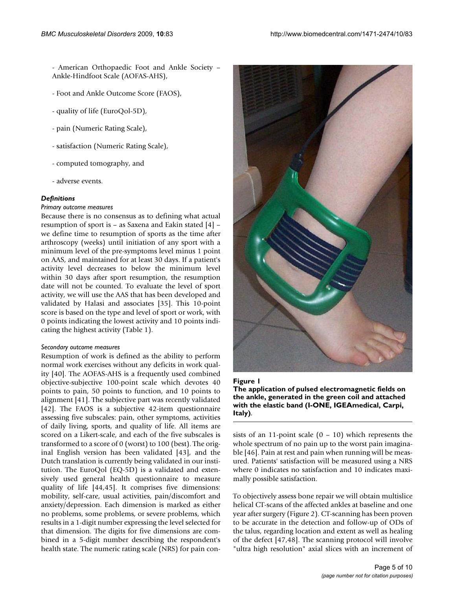- American Orthopaedic Foot and Ankle Society – Ankle-Hindfoot Scale (AOFAS-AHS),

- Foot and Ankle Outcome Score (FAOS),
- quality of life (EuroQol-5D),
- pain (Numeric Rating Scale),
- satisfaction (Numeric Rating Scale),
- computed tomography, and
- adverse events.

# *Definitions*

## *Primary outcome measures*

Because there is no consensus as to defining what actual resumption of sport is – as Saxena and Eakin stated [4] – we define time to resumption of sports as the time after arthroscopy (weeks) until initiation of any sport with a minimum level of the pre-symptoms level minus 1 point on AAS, and maintained for at least 30 days. If a patient's activity level decreases to below the minimum level within 30 days after sport resumption, the resumption date will not be counted. To evaluate the level of sport activity, we will use the AAS that has been developed and validated by Halasi and associates [35]. This 10-point score is based on the type and level of sport or work, with 0 points indicating the lowest activity and 10 points indicating the highest activity (Table 1).

#### *Secondary outcome measures*

Resumption of work is defined as the ability to perform normal work exercises without any deficits in work quality [40]. The AOFAS-AHS is a frequently used combined objective-subjective 100-point scale which devotes 40 points to pain, 50 points to function, and 10 points to alignment [41]. The subjective part was recently validated [42]. The FAOS is a subjective 42-item questionnaire assessing five subscales: pain, other symptoms, activities of daily living, sports, and quality of life. All items are scored on a Likert-scale, and each of the five subscales is transformed to a score of 0 (worst) to 100 (best). The original English version has been validated [43], and the Dutch translation is currently being validated in our institution. The EuroQol (EQ-5D) is a validated and extensively used general health questionnaire to measure quality of life [\[44](#page-9-0),45]. It comprises five dimensions: mobility, self-care, usual activities, pain/discomfort and anxiety/depression. Each dimension is marked as either no problems, some problems, or severe problems, which results in a 1-digit number expressing the level selected for that dimension. The digits for five dimensions are combined in a 5-digit number describing the respondent's health state. The numeric rating scale (NRS) for pain con-



# Figure I **The application of pulsed electromagnetic fields on the ankle, generated in the green coil and attached with the elastic band (I-ONE, IGEAmedical, Carpi, Italy)**.

sists of an 11-point scale  $(0 - 10)$  which represents the whole spectrum of no pain up to the worst pain imaginable [46]. Pain at rest and pain when running will be measured. Patients' satisfaction will be measured using a NRS where 0 indicates no satisfaction and 10 indicates maximally possible satisfaction.

To objectively assess bone repair we will obtain multislice helical CT-scans of the affected ankles at baseline and one year after surgery (Figure 2). CT-scanning has been proven to be accurate in the detection and follow-up of ODs of the talus, regarding location and extent as well as healing of the defect [47,48]. The scanning protocol will involve "ultra high resolution" axial slices with an increment of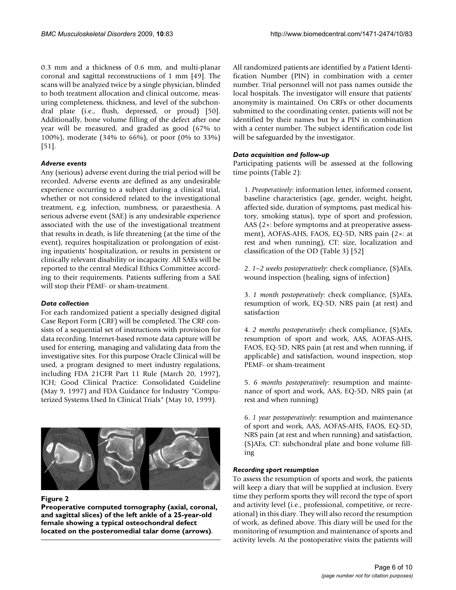0.3 mm and a thickness of 0.6 mm, and multi-planar coronal and sagittal reconstructions of 1 mm [49]. The scans will be analyzed twice by a single physician, blinded to both treatment allocation and clinical outcome, measuring completeness, thickness, and level of the subchondral plate (i.e., flush, depressed, or proud) [50]. Additionally, bone volume filling of the defect after one year will be measured, and graded as good (67% to 100%), moderate (34% to 66%), or poor (0% to 33%) [51].

# *Adverse events*

Any (serious) adverse event during the trial period will be recorded. Adverse events are defined as any undesirable experience occurring to a subject during a clinical trial, whether or not considered related to the investigational treatment, e.g. infection, numbness, or paraesthesia. A serious adverse event (SAE) is any undesirable experience associated with the use of the investigational treatment that results in death, is life threatening (at the time of the event), requires hospitalization or prolongation of existing inpatients' hospitalization, or results in persistent or clinically relevant disability or incapacity. All SAEs will be reported to the central Medical Ethics Committee according to their requirements. Patients suffering from a SAE will stop their PEMF- or sham-treatment.

# *Data collection*

For each randomized patient a specially designed digital Case Report Form (CRF) will be completed. The CRF consists of a sequential set of instructions with provision for data recording. Internet-based remote data capture will be used for entering, managing and validating data from the investigative sites. For this purpose Oracle Clinical will be used, a program designed to meet industry regulations, including FDA 21CFR Part 11 Rule (March 20, 1997), ICH; Good Clinical Practice: Consolidated Guideline (May 9, 1997) and FDA Guidance for Industry "Computerized Systems Used In Clinical Trials" (May 10, 1999).



# **Figure 2**

**Preoperative computed tomography (axial, coronal, and sagittal slices) of the left ankle of a 25-year-old female showing a typical osteochondral defect located on the posteromedial talar dome (arrows)**.

All randomized patients are identified by a Patient Identification Number (PIN) in combination with a center number. Trial personnel will not pass names outside the local hospitals. The investigator will ensure that patients' anonymity is maintained. On CRFs or other documents submitted to the coordinating center, patients will not be identified by their names but by a PIN in combination with a center number. The subject identification code list will be safeguarded by the investigator.

# *Data acquisition and follow-up*

Participating patients will be assessed at the following time points (Table 2):

1. *Preoperatively*: information letter, informed consent, baseline characteristics (age, gender, weight, height, affected side, duration of symptoms, past medical history, smoking status), type of sport and profession, AAS (2×: before symptoms and at preoperative assessment), AOFAS-AHS, FAOS, EQ-5D, NRS pain (2×: at rest and when running), CT: size, localization and classification of the OD (Table 3) [52]

2. *1–2 weeks postoperatively*: check compliance, (S)AEs, wound inspection (healing, signs of infection)

3. *1 month postoperatively*: check compliance, (S)AEs, resumption of work, EQ-5D, NRS pain (at rest) and satisfaction

4. *2 months postoperatively*: check compliance, (S)AEs, resumption of sport and work, AAS, AOFAS-AHS, FAOS, EQ-5D, NRS pain (at rest and when running, if applicable) and satisfaction, wound inspection, stop PEMF- or sham-treatment

5. *6 months postoperatively*: resumption and maintenance of sport and work, AAS, EQ-5D, NRS pain (at rest and when running)

6. *1 year postoperatively*: resumption and maintenance of sport and work, AAS, AOFAS-AHS, FAOS, EQ-5D, NRS pain (at rest and when running) and satisfaction, (S)AEs, CT: subchondral plate and bone volume filling

# *Recording sport resumption*

To assess the resumption of sports and work, the patients will keep a diary that will be supplied at inclusion. Every time they perform sports they will record the type of sport and activity level (i.e., professional, competitive, or recreational) in this diary. They will also record the resumption of work, as defined above. This diary will be used for the monitoring of resumption and maintenance of sports and activity levels. At the postoperative visits the patients will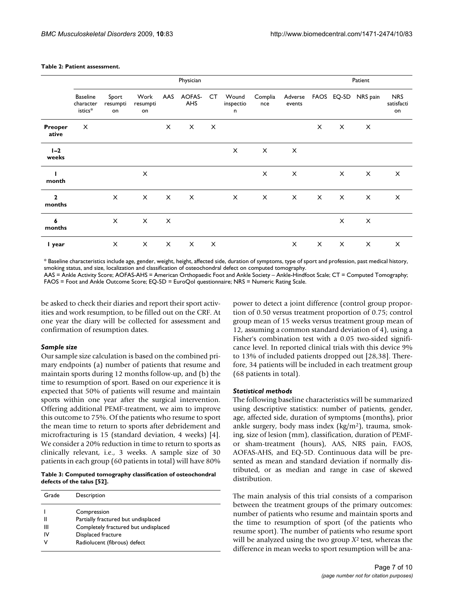#### **Table 2: Patient assessment.**

|                          | Physician                               |                         |                        |          |               |          |                         |                | Patient           |              |          |                     |                                |
|--------------------------|-----------------------------------------|-------------------------|------------------------|----------|---------------|----------|-------------------------|----------------|-------------------|--------------|----------|---------------------|--------------------------------|
|                          | <b>Baseline</b><br>character<br>istics* | Sport<br>resumpti<br>on | Work<br>resumpti<br>on | AAS      | AOFAS-<br>AHS | CT.      | Wound<br>inspectio<br>n | Complia<br>nce | Adverse<br>events |              |          | FAOS EQ-5D NRS pain | <b>NRS</b><br>satisfacti<br>on |
| Preoper<br>ative         | $\times$                                |                         |                        | $\times$ | $\times$      | $\times$ |                         |                |                   | X            | $\times$ | $\times$            |                                |
| $I - 2$<br>weeks         |                                         |                         |                        |          |               |          | $\times$                | $\mathsf{X}$   | $\times$          |              |          |                     |                                |
| ш<br>month               |                                         |                         | $\times$               |          |               |          |                         | $\times$       | $\times$          |              | $\times$ | $\times$            | $\times$                       |
| $\overline{2}$<br>months |                                         | $\times$                | $\times$               | $\times$ | $\times$      |          | $\times$                | X              | $\times$          | $\mathsf{X}$ | $\times$ | $\times$            | $\times$                       |
| 6<br>months              |                                         | $\times$                | $\times$               | $\times$ |               |          |                         |                |                   |              | $\times$ | X                   |                                |
| I year                   |                                         | $\times$                | $\times$               | $\times$ | X             | $\times$ |                         |                | $\times$          | $\times$     | $\times$ | $\times$            | $\times$                       |

\* Baseline characteristics include age, gender, weight, height, affected side, duration of symptoms, type of sport and profession, past medical history, smoking status, and size, localization and classification of osteochondral defect on computed tomography.

AAS = Ankle Activity Score; AOFAS-AHS = American Orthopaedic Foot and Ankle Society – Ankle-Hindfoot Scale; CT = Computed Tomography; FAOS = Foot and Ankle Outcome Score; EQ-5D = EuroQol questionnaire; NRS = Numeric Rating Scale.

be asked to check their diaries and report their sport activities and work resumption, to be filled out on the CRF. At one year the diary will be collected for assessment and confirmation of resumption dates.

#### *Sample size*

Our sample size calculation is based on the combined primary endpoints (a) number of patients that resume and maintain sports during 12 months follow-up, and (b) the time to resumption of sport. Based on our experience it is expected that 50% of patients will resume and maintain sports within one year after the surgical intervention. Offering additional PEMF-treatment, we aim to improve this outcome to 75%. Of the patients who resume to sport the mean time to return to sports after debridement and microfracturing is 15 (standard deviation, 4 weeks) [4]. We consider a 20% reduction in time to return to sports as clinically relevant, i.e., 3 weeks. A sample size of 30 patients in each group (60 patients in total) will have 80%

**Table 3: Computed tomography classification of osteochondral defects of the talus [52].**

| Grade | Description                          |
|-------|--------------------------------------|
|       | Compression                          |
|       | Partially fractured but undisplaced  |
| Ш     | Completely fractured but undisplaced |
| ΙV    | Displaced fracture                   |
| v     | Radiolucent (fibrous) defect         |

power to detect a joint difference (control group proportion of 0.50 versus treatment proportion of 0.75; control group mean of 15 weeks versus treatment group mean of 12, assuming a common standard deviation of 4), using a Fisher's combination test with a 0.05 two-sided significance level. In reported clinical trials with this device 9% to 13% of included patients dropped out [28,38]. Therefore, 34 patients will be included in each treatment group (68 patients in total).

#### *Statistical methods*

The following baseline characteristics will be summarized using descriptive statistics: number of patients, gender, age, affected side, duration of symptoms (months), prior ankle surgery, body mass index  $(kg/m<sup>2</sup>)$ , trauma, smoking, size of lesion (mm), classification, duration of PEMFor sham-treatment (hours), AAS, NRS pain, FAOS, AOFAS-AHS, and EQ-5D. Continuous data will be presented as mean and standard deviation if normally distributed, or as median and range in case of skewed distribution.

The main analysis of this trial consists of a comparison between the treatment groups of the primary outcomes: number of patients who resume and maintain sports and the time to resumption of sport (of the patients who resume sport). The number of patients who resume sport will be analyzed using the two group *X*2 test, whereas the difference in mean weeks to sport resumption will be ana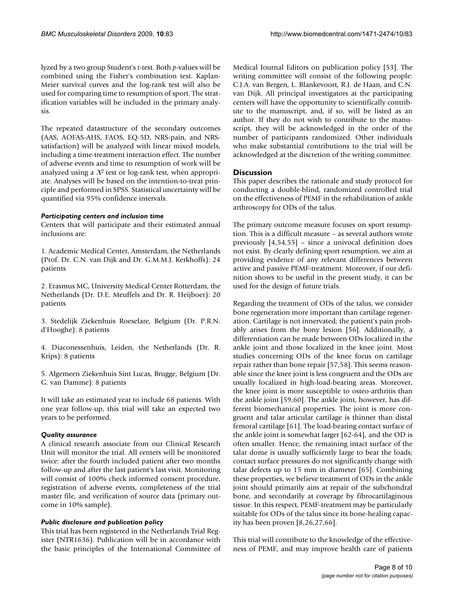lyzed by a two group Student's *t*-test. Both *p*-values will be combined using the Fisher's combination test. Kaplan-Meier survival curves and the log-rank test will also be used for comparing time to resumption of sport. The stratification variables will be included in the primary analysis.

The repeated datastructure of the secondary outcomes (AAS, AOFAS-AHS, FAOS, EQ-5D, NRS-pain, and NRSsatisfaction) will be analyzed with linear mixed models, including a time-treatment interaction effect. The number of adverse events and time to resumption of work will be analyzed using a  $X^2$  test or log-rank test, when appropriate. Analyses will be based on the intention-to-treat principle and performed in SPSS. Statistical uncertainty will be quantified via 95% confidence intervals.

# *Participating centers and inclusion time*

Centers that will participate and their estimated annual inclusions are:

1. Academic Medical Center, Amsterdam, the Netherlands (Prof. Dr. C.N. van Dijk and Dr. G.M.M.J. Kerkhoffs): 24 patients

2. Erasmus MC, University Medical Center Rotterdam, the Netherlands (Dr. D.E. Meuffels and Dr. R. Heijboer): 20 patients

3. Stedelijk Ziekenhuis Roeselare, Belgium (Dr. P.R.N. d'Hooghe): 8 patients

4. Diaconessenhuis, Leiden, the Netherlands (Dr. R. Krips): 8 patients

5. Algemeen Ziekenhuis Sint Lucas, Brugge, Belgium (Dr. G. van Damme): 8 patients

It will take an estimated year to include 68 patients. With one year follow-up, this trial will take an expected two years to be performed.

# *Quality assurance*

A clinical research associate from our Clinical Research Unit will monitor the trial. All centers will be monitored twice: after the fourth included patient after two months follow-up and after the last patient's last visit. Monitoring will consist of 100% check informed consent procedure, registration of adverse events, completeness of the trial master file, and verification of source data (primary outcome in 10% sample).

# *Public disclosure and publication policy*

This trial has been registered in the Netherlands Trial Register (NTR1636). Publication will be in accordance with the basic principles of the International Committee of Medical Journal Editors on publication policy [53]. The writing committee will consist of the following people: C.J.A. van Bergen, L. Blankevoort, R.J. de Haan, and C.N. van Dijk. All principal investigators at the participating centers will have the opportunity to scientifically contribute to the manuscript, and, if so, will be listed as an author. If they do not wish to contribute to the manuscript, they will be acknowledged in the order of the number of participants randomized. Other individuals who make substantial contributions to the trial will be acknowledged at the discretion of the writing committee.

# **Discussion**

This paper describes the rationale and study protocol for conducting a double-blind, randomized controlled trial on the effectiveness of PEMF in the rehabilitation of ankle arthroscopy for ODs of the talus.

The primary outcome measure focuses on sport resumption. This is a difficult measure – as several authors wrote previously [4,54,55] – since a univocal definition does not exist. By clearly defining sport resumption, we aim at providing evidence of any relevant differences between active and passive PEMF-treatment. Moreover, if our definition shows to be useful in the present study, it can be used for the design of future trials.

Regarding the treatment of ODs of the talus, we consider bone regeneration more important than cartilage regeneration. Cartilage is not innervated; the patient's pain probably arises from the bony lesion [56]. Additionally, a differentiation can be made between ODs localized in the ankle joint and those localized in the knee joint. Most studies concerning ODs of the knee focus on cartilage repair rather than bone repair [57,58]. This seems reasonable since the knee joint is less congruent and the ODs are usually localized in high-load-bearing areas. Moreover, the knee joint is more susceptible to osteo-arthritis than the ankle joint [59,60]. The ankle joint, however, has different biomechanical properties. The joint is more congruent and talar articular cartilage is thinner than distal femoral cartilage [61]. The load-bearing contact surface of the ankle joint is somewhat larger [62-64], and the OD is often smaller. Hence, the remaining intact surface of the talar dome is usually sufficiently large to bear the loads; contact surface pressures do not significantly change with talar defects up to 15 mm in diameter [65]. Combining these properties, we believe treatment of ODs in the ankle joint should primarily aim at repair of the subchondral bone, and secondarily at coverage by fibrocartilaginous tissue. In this respect, PEMF-treatment may be particularly suitable for ODs of the talus since its bone-healing capacity has been proven [8,26,27,66].

This trial will contribute to the knowledge of the effectiveness of PEMF, and may improve health care of patients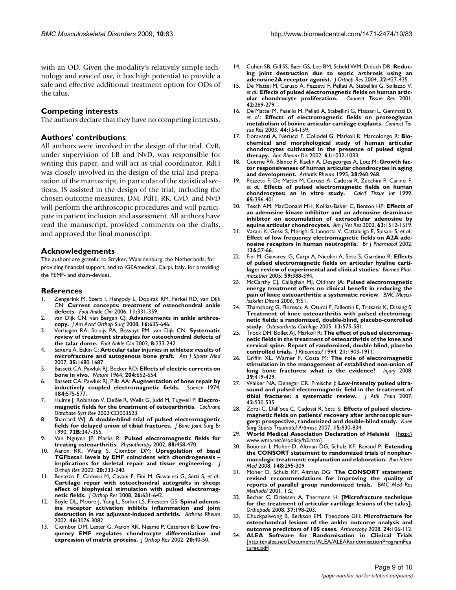with an OD. Given the modality's relatively simple technology and ease of use, it has high potential to provide a safe and effective additional treatment option for ODs of the talus.

# **Competing interests**

The authors declare that they have no competing interests.

## **Authors' contributions**

All authors were involved in the design of the trial. CvB, under supervision of LB and NvD, was responsible for writing this paper, and will act as trial coordinator. RdH was closely involved in the design of the trial and preparation of the manuscript, in particular of the statistical sections. IS assisted in the design of the trial, including the chosen outcome measures. DM, PdH, RK, GvD, and NvD will perform the arthroscopic procedures and will participate in patient inclusion and assessment. All authors have read the manuscript, provided comments on the drafts, and approved the final manuscript.

# **Acknowledgements**

The authors are grateful to Stryker, Waardenburg, the Netherlands, for providing financial support, and to IGEAmedical, Carpi, Italy, for providing the PEMF- and sham-devices.

# **References**

- 1. Zengerink M, Szerb I, Hangody L, Dopirak RM, Ferkel RD, van Dijk CN: **[Current concepts: treatment of osteochondral ankle](http://www.ncbi.nlm.nih.gov/entrez/query.fcgi?cmd=Retrieve&db=PubMed&dopt=Abstract&list_uids=16798515) [defects.](http://www.ncbi.nlm.nih.gov/entrez/query.fcgi?cmd=Retrieve&db=PubMed&dopt=Abstract&list_uids=16798515)** *Foot Ankle Clin* 2006, **11:**331-359.
- 2. van Dijk CN, van Bergen CJ: [Advancements in ankle arthros](http://www.ncbi.nlm.nih.gov/entrez/query.fcgi?cmd=Retrieve&db=PubMed&dopt=Abstract&list_uids=18978286)**[copy.](http://www.ncbi.nlm.nih.gov/entrez/query.fcgi?cmd=Retrieve&db=PubMed&dopt=Abstract&list_uids=18978286)** *J Am Acad Orthop Surg* 2008, **16:**635-646.
- 3. Verhagen RA, Struijs PA, Bossuyt PM, van Dijk CN: **[Systematic](http://www.ncbi.nlm.nih.gov/entrez/query.fcgi?cmd=Retrieve&db=PubMed&dopt=Abstract&list_uids=12911238) [review of treatment strategies for osteochondral defects of](http://www.ncbi.nlm.nih.gov/entrez/query.fcgi?cmd=Retrieve&db=PubMed&dopt=Abstract&list_uids=12911238) [the talar dome.](http://www.ncbi.nlm.nih.gov/entrez/query.fcgi?cmd=Retrieve&db=PubMed&dopt=Abstract&list_uids=12911238)** *Foot Ankle Clin* 2003, **8:**233-242.
- 4. Saxena A, Eakin C: **[Articular talar injuries in athletes: results of](http://www.ncbi.nlm.nih.gov/entrez/query.fcgi?cmd=Retrieve&db=PubMed&dopt=Abstract&list_uids=17656737) [microfracture and autogenous bone graft.](http://www.ncbi.nlm.nih.gov/entrez/query.fcgi?cmd=Retrieve&db=PubMed&dopt=Abstract&list_uids=17656737)** *Am J Sports Med* 2007, **35:**1680-1687.
- 5. Bassett CA, Pawluk RJ, Becker RO: **[Effects of electric currents on](http://www.ncbi.nlm.nih.gov/entrez/query.fcgi?cmd=Retrieve&db=PubMed&dopt=Abstract&list_uids=14236279) [bone in vivo.](http://www.ncbi.nlm.nih.gov/entrez/query.fcgi?cmd=Retrieve&db=PubMed&dopt=Abstract&list_uids=14236279)** *Nature* 1964, **204:**652-654.
- 6. Bassett CA, Pawluk RJ, Pilla AA: **[Augmentation of bone repair by](http://www.ncbi.nlm.nih.gov/entrez/query.fcgi?cmd=Retrieve&db=PubMed&dopt=Abstract&list_uids=4821958) [inductively coupled electromagnetic fields.](http://www.ncbi.nlm.nih.gov/entrez/query.fcgi?cmd=Retrieve&db=PubMed&dopt=Abstract&list_uids=4821958)** *Science* 1974, **184:**575-577.
- 7. Hulme J, Robinson V, DeBie R, Wells G, Judd M, Tugwell P: **[Electro](http://www.ncbi.nlm.nih.gov/entrez/query.fcgi?cmd=Retrieve&db=PubMed&dopt=Abstract&list_uids=11869668)[magnetic fields for the treatment of osteoarthritis.](http://www.ncbi.nlm.nih.gov/entrez/query.fcgi?cmd=Retrieve&db=PubMed&dopt=Abstract&list_uids=11869668)** *Cochrane Database Syst Rev* 2002:CD003523.
- 8. Sharrard WJ: **A double-blind trial of pulsed electromagnetic fields for delayed union of tibial fractures.** *J Bone Joint Surg Br* 1990, **72B:**347-355.
- 9. Van Nguyen JP, Marks R: **Pulsed electromagnetic fields for treating osteoarthritis.** *Physiotherapy* 2002, **88:**458-470.
- 10. Aaron RK, Wang S, Ciombor DM: **[Upregulation of basal](http://www.ncbi.nlm.nih.gov/entrez/query.fcgi?cmd=Retrieve&db=PubMed&dopt=Abstract&list_uids=11918302) [TGFbeta1 levels by EMF coincident with chondrogenesis –](http://www.ncbi.nlm.nih.gov/entrez/query.fcgi?cmd=Retrieve&db=PubMed&dopt=Abstract&list_uids=11918302) [implications for skeletal repair and tissue engineering.](http://www.ncbi.nlm.nih.gov/entrez/query.fcgi?cmd=Retrieve&db=PubMed&dopt=Abstract&list_uids=11918302)** *J Orthop Res* 2002, **20:**233-240.
- 11. Benazzo F, Cadossi M, Cavani F, Fini M, Giavaresi G, Setti S, *et al.*: **[Cartilage repair with osteochondral autografts in sheep:](http://www.ncbi.nlm.nih.gov/entrez/query.fcgi?cmd=Retrieve&db=PubMed&dopt=Abstract&list_uids=18176941) effect of biophysical stimulation with pulsed electromag[netic fields.](http://www.ncbi.nlm.nih.gov/entrez/query.fcgi?cmd=Retrieve&db=PubMed&dopt=Abstract&list_uids=18176941)** *J Orthop Res* 2008, **26:**631-642.
- 12. Boyle DL, Moore J, Yang L, Sorkin LS, Firestein GS: **[Spinal adenos](http://www.ncbi.nlm.nih.gov/entrez/query.fcgi?cmd=Retrieve&db=PubMed&dopt=Abstract&list_uids=12428252)[ine receptor activation inhibits inflammation and joint](http://www.ncbi.nlm.nih.gov/entrez/query.fcgi?cmd=Retrieve&db=PubMed&dopt=Abstract&list_uids=12428252) [destruction in rat adjuvant-induced arthritis.](http://www.ncbi.nlm.nih.gov/entrez/query.fcgi?cmd=Retrieve&db=PubMed&dopt=Abstract&list_uids=12428252)** *Arthritis Rheum* 2002, **46:**3076-3082.
- 13. Ciombor DM, Lester G, Aaron RK, Neame P, Caterson B: **[Low fre](http://www.ncbi.nlm.nih.gov/entrez/query.fcgi?cmd=Retrieve&db=PubMed&dopt=Abstract&list_uids=11853089)[quency EMF regulates chondrocyte differentiation and](http://www.ncbi.nlm.nih.gov/entrez/query.fcgi?cmd=Retrieve&db=PubMed&dopt=Abstract&list_uids=11853089) [expression of matrix proteins.](http://www.ncbi.nlm.nih.gov/entrez/query.fcgi?cmd=Retrieve&db=PubMed&dopt=Abstract&list_uids=11853089)** *J Orthop Res* 2002, **20:**40-50.
- 14. Cohen SB, Gill SS, Baer GS, Leo BM, Scheld WM, Diduch DR: **[Reduc](http://www.ncbi.nlm.nih.gov/entrez/query.fcgi?cmd=Retrieve&db=PubMed&dopt=Abstract&list_uids=15013106)[ing joint destruction due to septic arthrosis using an](http://www.ncbi.nlm.nih.gov/entrez/query.fcgi?cmd=Retrieve&db=PubMed&dopt=Abstract&list_uids=15013106) [adenosine2A receptor agonist.](http://www.ncbi.nlm.nih.gov/entrez/query.fcgi?cmd=Retrieve&db=PubMed&dopt=Abstract&list_uids=15013106)** *J Orthop Res* 2004, **22:**427-435.
- 15. De Mattei M, Caruso A, Pezzetti F, Pellati A, Stabellini G, Sollazzo V, *et al.*: **[Effects of pulsed electromagnetic fields on human artic](http://www.ncbi.nlm.nih.gov/entrez/query.fcgi?cmd=Retrieve&db=PubMed&dopt=Abstract&list_uids=11913771)[ular chondrocyte proliferation.](http://www.ncbi.nlm.nih.gov/entrez/query.fcgi?cmd=Retrieve&db=PubMed&dopt=Abstract&list_uids=11913771)** *Connect Tissue Res* 2001, **42:**269-279.
- 16. De Mattei M, Pasello M, Pellati A, Stabellini G, Massari L, Gemmati D, *et al.*: **[Effects of electromagnetic fields on proteoglycan](http://www.ncbi.nlm.nih.gov/entrez/query.fcgi?cmd=Retrieve&db=PubMed&dopt=Abstract&list_uids=14504035) [metabolism of bovine articular cartilage explants.](http://www.ncbi.nlm.nih.gov/entrez/query.fcgi?cmd=Retrieve&db=PubMed&dopt=Abstract&list_uids=14504035)** *Connect Tissue Res* 2003, **44:**154-159.
- 17. Fioravanti A, Nerucci F, Collodel G, Markoll R, Marcolongo R: **[Bio](http://www.ncbi.nlm.nih.gov/entrez/query.fcgi?cmd=Retrieve&db=PubMed&dopt=Abstract&list_uids=12379533)[chemical and morphological study of human articular](http://www.ncbi.nlm.nih.gov/entrez/query.fcgi?cmd=Retrieve&db=PubMed&dopt=Abstract&list_uids=12379533) chondrocytes cultivated in the presence of pulsed signal [therapy.](http://www.ncbi.nlm.nih.gov/entrez/query.fcgi?cmd=Retrieve&db=PubMed&dopt=Abstract&list_uids=12379533)** *Ann Rheum Dis* 2002, **61:**1032-1033.
- 18. Guerne PA, Blanco F, Kaelin A, Desgeorges A, Lotz M: **[Growth fac](http://www.ncbi.nlm.nih.gov/entrez/query.fcgi?cmd=Retrieve&db=PubMed&dopt=Abstract&list_uids=7612045)[tor responsiveness of human articular chondrocytes in aging](http://www.ncbi.nlm.nih.gov/entrez/query.fcgi?cmd=Retrieve&db=PubMed&dopt=Abstract&list_uids=7612045) [and development.](http://www.ncbi.nlm.nih.gov/entrez/query.fcgi?cmd=Retrieve&db=PubMed&dopt=Abstract&list_uids=7612045)** *Arthritis Rheum* 1995, **38:**960-968.
- 19. Pezzetti F, De Mattei M, Caruso A, Cadossi R, Zucchini P, Carinci F, *et al.*: **[Effects of pulsed electromagnetic fields on human](http://www.ncbi.nlm.nih.gov/entrez/query.fcgi?cmd=Retrieve&db=PubMed&dopt=Abstract&list_uids=10541767)** [chondrocytes: an in vitro study.](http://www.ncbi.nlm.nih.gov/entrez/query.fcgi?cmd=Retrieve&db=PubMed&dopt=Abstract&list_uids=10541767) **65:**396-401.
- 20. Tesch AM, MacDonald MH, Kollias-Baker C, Benton HP: **[Effects of](http://www.ncbi.nlm.nih.gov/entrez/query.fcgi?cmd=Retrieve&db=PubMed&dopt=Abstract&list_uids=12428660) [an adenosine kinase inhibitor and an adenosine deaminase](http://www.ncbi.nlm.nih.gov/entrez/query.fcgi?cmd=Retrieve&db=PubMed&dopt=Abstract&list_uids=12428660) inhibitor on accumulation of extracellular adenosine by [equine articular chondrocytes.](http://www.ncbi.nlm.nih.gov/entrez/query.fcgi?cmd=Retrieve&db=PubMed&dopt=Abstract&list_uids=12428660)** *Am J Vet Res* 2002, **63:**1512-1519.
- 21. Varani K, Gessi S, Merighi S, Iannotta V, Cattabriga E, Spisani S, *et al.*: **[Effect of low frequency electromagnetic fields on A2A ade](http://www.ncbi.nlm.nih.gov/entrez/query.fcgi?cmd=Retrieve&db=PubMed&dopt=Abstract&list_uids=11976268)[nosine receptors in human neutrophils.](http://www.ncbi.nlm.nih.gov/entrez/query.fcgi?cmd=Retrieve&db=PubMed&dopt=Abstract&list_uids=11976268)** *Br J Pharmacol* 2002, **136:**57-66.
- 22. Fini M, Giavaresi G, Carpi A, Nicolini A, Setti S, Giardino R: **[Effects](http://www.ncbi.nlm.nih.gov/entrez/query.fcgi?cmd=Retrieve&db=PubMed&dopt=Abstract&list_uids=16084055) [of pulsed electromagnetic fields on articular hyaline carti](http://www.ncbi.nlm.nih.gov/entrez/query.fcgi?cmd=Retrieve&db=PubMed&dopt=Abstract&list_uids=16084055)[lage: review of experimental and clinical studies.](http://www.ncbi.nlm.nih.gov/entrez/query.fcgi?cmd=Retrieve&db=PubMed&dopt=Abstract&list_uids=16084055)** *Biomed Pharmacother* 2005, **59:**388-394.
- 23. McCarthy CJ, Callaghan MJ, Oldham JA: **[Pulsed electromagnetic](http://www.ncbi.nlm.nih.gov/entrez/query.fcgi?cmd=Retrieve&db=PubMed&dopt=Abstract&list_uids=16776826) [energy treatment offers no clinical benefit in reducing the](http://www.ncbi.nlm.nih.gov/entrez/query.fcgi?cmd=Retrieve&db=PubMed&dopt=Abstract&list_uids=16776826) [pain of knee osteoarthritis: a systematic review.](http://www.ncbi.nlm.nih.gov/entrez/query.fcgi?cmd=Retrieve&db=PubMed&dopt=Abstract&list_uids=16776826)** *BMC Musculoskelet Disord* 2006, **7:**51.
- 24. Thamsborg G, Florescu A, Oturai P, Fallentin E, Tritsaris K, Dissing S: **[Treatment of knee osteoarthritis with pulsed electromag](http://www.ncbi.nlm.nih.gov/entrez/query.fcgi?cmd=Retrieve&db=PubMed&dopt=Abstract&list_uids=15979009)netic fields: a randomized, double-blind, placebo-controlled [study.](http://www.ncbi.nlm.nih.gov/entrez/query.fcgi?cmd=Retrieve&db=PubMed&dopt=Abstract&list_uids=15979009)** *Osteoarthritis Cartilage* 2005, **13:**575-581.
- 25. Trock DH, Bollet AJ, Markoll R: **[The effect of pulsed electromag](http://www.ncbi.nlm.nih.gov/entrez/query.fcgi?cmd=Retrieve&db=PubMed&dopt=Abstract&list_uids=7837158)[netic fields in the treatment of osteoarthritis of the knee and](http://www.ncbi.nlm.nih.gov/entrez/query.fcgi?cmd=Retrieve&db=PubMed&dopt=Abstract&list_uids=7837158) cervical spine. Report of randomized, double blind, placebo [controlled trials.](http://www.ncbi.nlm.nih.gov/entrez/query.fcgi?cmd=Retrieve&db=PubMed&dopt=Abstract&list_uids=7837158)** *J Rheumatol* 1994, **21:**1903-1911.
- 26. Griffin XL, Warner F, Costa M: **[The role of electromagnetic](http://www.ncbi.nlm.nih.gov/entrez/query.fcgi?cmd=Retrieve&db=PubMed&dopt=Abstract&list_uids=18321512) [stimulation in the management of established non-union of](http://www.ncbi.nlm.nih.gov/entrez/query.fcgi?cmd=Retrieve&db=PubMed&dopt=Abstract&list_uids=18321512) [long bone fractures: what is the evidence?](http://www.ncbi.nlm.nih.gov/entrez/query.fcgi?cmd=Retrieve&db=PubMed&dopt=Abstract&list_uids=18321512)** *Injury* 2008, **39:**419-429.
- 27. Walker NA, Denegar CR, Preische J: **[Low-intensity pulsed ultra](http://www.ncbi.nlm.nih.gov/entrez/query.fcgi?cmd=Retrieve&db=PubMed&dopt=Abstract&list_uids=18174942)[sound and pulsed electromagnetic field in the treatment of](http://www.ncbi.nlm.nih.gov/entrez/query.fcgi?cmd=Retrieve&db=PubMed&dopt=Abstract&list_uids=18174942) [tibial fractures: a systematic review.](http://www.ncbi.nlm.nih.gov/entrez/query.fcgi?cmd=Retrieve&db=PubMed&dopt=Abstract&list_uids=18174942)** *J Athl Train* 2007, **42:**530-535.
- 28. Zorzi C, Dall'oca C, Cadossi R, Setti S: **[Effects of pulsed electro](http://www.ncbi.nlm.nih.gov/entrez/query.fcgi?cmd=Retrieve&db=PubMed&dopt=Abstract&list_uids=17333120)[magnetic fields on patients' recovery after arthroscopic sur](http://www.ncbi.nlm.nih.gov/entrez/query.fcgi?cmd=Retrieve&db=PubMed&dopt=Abstract&list_uids=17333120)[gery: prospective, randomized and double-blind study.](http://www.ncbi.nlm.nih.gov/entrez/query.fcgi?cmd=Retrieve&db=PubMed&dopt=Abstract&list_uids=17333120)** *Knee Surg Sports Traumatol Arthrosc* 2007, **15:**830-834.
- 29. **World Medical Association Declaration of Helsinki** [\[http://](http://www.wma.net/e/policy/b3.htm) [www.wma.net/e/policy/b3.htm\]](http://www.wma.net/e/policy/b3.htm)
- 30. Boutron I, Moher D, Altman DG, Schulz KF, Ravaud P: **[Extending](http://www.ncbi.nlm.nih.gov/entrez/query.fcgi?cmd=Retrieve&db=PubMed&dopt=Abstract&list_uids=18283207) [the CONSORT statement to randomized trials of nonphar](http://www.ncbi.nlm.nih.gov/entrez/query.fcgi?cmd=Retrieve&db=PubMed&dopt=Abstract&list_uids=18283207)[macologic treatment: explanation and elaboration.](http://www.ncbi.nlm.nih.gov/entrez/query.fcgi?cmd=Retrieve&db=PubMed&dopt=Abstract&list_uids=18283207)** *Ann Intern Med* 2008, **148:**295-309.
- 31. Moher D, Schulz KF, Altman DG: **[The CONSORT statement:](http://www.ncbi.nlm.nih.gov/entrez/query.fcgi?cmd=Retrieve&db=PubMed&dopt=Abstract&list_uids=11336663) [revised recommendations for improving the quality of](http://www.ncbi.nlm.nih.gov/entrez/query.fcgi?cmd=Retrieve&db=PubMed&dopt=Abstract&list_uids=11336663) [reports of parallel group randomized trials.](http://www.ncbi.nlm.nih.gov/entrez/query.fcgi?cmd=Retrieve&db=PubMed&dopt=Abstract&list_uids=11336663)** *BMC Med Res Methodol* 2001, **1:**2.
- 32. Becher C, Driessen A, Thermann H: **[Microfracture technique for the treatment of articular cartilage lesions of the talus].** *Orthopade* 2008, **37:**198-203.
- 33. Chuckpaiwong B, Berkson EM, Theodore GH: **[Microfracture for](http://www.ncbi.nlm.nih.gov/entrez/query.fcgi?cmd=Retrieve&db=PubMed&dopt=Abstract&list_uids=18182210) [osteochondral lesions of the ankle: outcome analysis and](http://www.ncbi.nlm.nih.gov/entrez/query.fcgi?cmd=Retrieve&db=PubMed&dopt=Abstract&list_uids=18182210) [outcome predictors of 105 cases.](http://www.ncbi.nlm.nih.gov/entrez/query.fcgi?cmd=Retrieve&db=PubMed&dopt=Abstract&list_uids=18182210)** *Arthroscopy* 2008, **24:**106-112.
- 34. **ALEA Software for Randomisation in Clinical Trials** [[http:tenalea.net/Documents/ALEA/ALEARandomisationProgramFea](http://tenalea.net/Documents/ALEA/ALEARandomisationProgramFeatures.pdf) [tures.pdf\]](http://tenalea.net/Documents/ALEA/ALEARandomisationProgramFeatures.pdf)